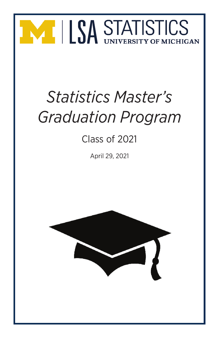

# *Statistics Master's Graduation Program*

### Class of 2021

April 29, 2021

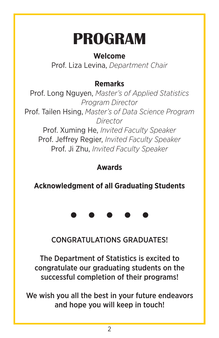## **PROGRAM**

#### **Welcome**

Prof. Liza Levina, *Department Chair*

#### **Remarks**

Prof. Long Nguyen, *Master's of Applied Statistics Program Director* Prof. Tailen Hsing, *Master's of Data Science Program Director* Prof. Xuming He, *Invited Faculty Speaker* Prof. Jeffrey Regier, *Invited Faculty Speaker* Prof. Ji Zhu, *Invited Faculty Speaker*

#### **Awards**

**Acknowledgment of all Graduating Students**

CONGRATULATIONS GRADUATES!

The Department of Statistics is excited to congratulate our graduating students on the successful completion of their programs!

We wish you all the best in your future endeavors and hope you will keep in touch!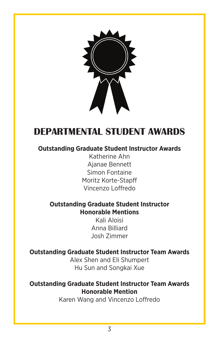

#### **DEPARTMENTAL STUDENT AWARDS**

#### **Outstanding Graduate Student Instructor Awards**

Katherine Ahn Ajanae Bennett Simon Fontaine Moritz Korte-Stapff Vincenzo Loffredo

#### **Outstanding Graduate Student Instructor Honorable Mentions**

Kali Aloisi Anna Billiard Josh Zimmer

#### **Outstanding Graduate Student Instructor Team Awards**

Alex Shen and Eli Shumpert Hu Sun and Songkai Xue

#### **Outstanding Graduate Student Instructor Team Awards Honorable Mention**

Karen Wang and Vincenzo Loffredo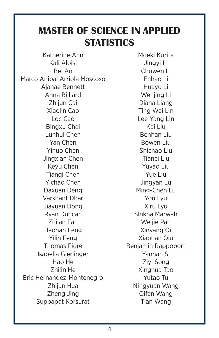#### **MASTER OF SCIENCE IN APPLIED STATISTICS**

Katherine Ahn Kali Aloisi Bei An Marco Anibal Arriola Moscoso Ajanae Bennett Anna Billiard Zhijun Cai Xiaolin Cao Loc Cao Bingxu Chai Lunhui Chen Yan Chen Yinuo Chen Jingxian Chen Keyu Chen Tianqi Chen Yichao Chen Daxuan Deng Varshant Dhar Jiayuan Dong Ryan Duncan Zhilan Fan Haonan Feng Yilin Feng Thomas Fiore Isabella Gierlinger Hao He Zhilin He Eric Hernandez-Montenegro Zhijun Hua Zheng Jing Suppapat Korsurat

Moeki Kurita Jingyi Li Chuwen Li Enhao Li Huayu Li Wenjing Li Diana Liang Ting Wei Lin Lee-Yang Lin Kai Liu Benhan Liu Bowen Liu Shichao Liu Tianci Liu Yuyao Liu Yue Liu Jingyan Lu Ming-Chen Lu You Lyu Xiru Lyu Shikha Marwah Weijie Pan Xinyang Qi Xiaohan Qiu Benjamin Rappoport Yanhan Si Ziyi Song Xinghua Tao Yutao Tu Ningyuan Wang Qifan Wang Tian Wang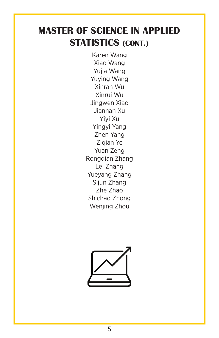#### **MASTER OF SCIENCE IN APPLIED STATISTICS (CONT.)**

Karen Wang Xiao Wang Yujia Wang Yuying Wang Xinran Wu Xinrui Wu Jingwen Xiao Jiannan Xu Yiyi Xu Yingyi Yang Zhen Yang Ziqian Ye Yuan Zeng Rongqian Zhang Lei Zhang Yueyang Zhang Sijun Zhang Zhe Zhao Shichao Zhong Wenjing Zhou

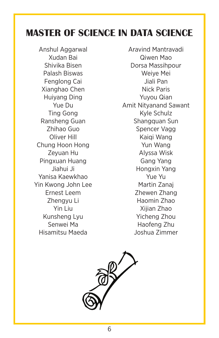#### **MASTER OF SCIENCE IN DATA SCIENCE**

Anshul Aggarwal Xudan Bai Shivika Bisen Palash Biswas Fenglong Cai Xianghao Chen Huiyang Ding Yue Du Ting Gong Ransheng Guan Zhihao Guo Oliver Hill Chung Hoon Hong Zeyuan Hu Pingxuan Huang Jiahui Ji Yanisa Kaewkhao Yin Kwong John Lee Ernest Leem Zhengyu Li Yin Liu Kunsheng Lyu Senwei Ma Hisamitsu Maeda

Aravind Mantravadi Qiwen Mao Dorsa Massihpour Weiye Mei Jiali Pan Nick Paris Yuyou Qian Amit Nityanand Sawant Kyle Schulz Shangquan Sun Spencer Vagg Kaiqi Wang Yun Wang Alyssa Wisk Gang Yang Hongxin Yang Yue Yu Martin Zanaj Zhewen Zhang Haomin Zhao Xijian Zhao Yicheng Zhou Haofeng Zhu Joshua Zimmer

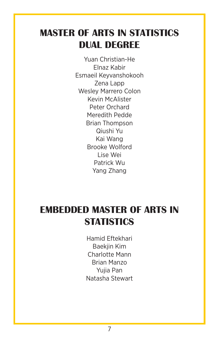#### **MASTER OF ARTS IN STATISTICS DUAL DEGREE**

Yuan Christian-He Elnaz Kabir Esmaeil Keyvanshokooh Zena Lapp Wesley Marrero Colon Kevin McAlister Peter Orchard Meredith Pedde Brian Thompson Qiushi Yu Kai Wang Brooke Wolford Lise Wei Patrick Wu Yang Zhang

#### **EMBEDDED MASTER OF ARTS IN STATISTICS**

Hamid Eftekhari Baekjin Kim Charlotte Mann Brian Manzo Yujia Pan Natasha Stewart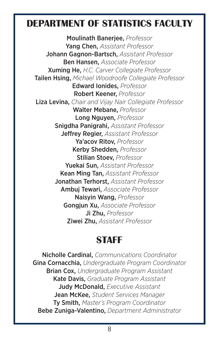#### **DEPARTMENT OF STATISTICS FACULTY**

Moulinath Banerjee, *Professor* Yang Chen, *Assistant Professor* Johann Gagnon-Bartsch, *Assistant Professor* Ben Hansen, *Associate Professor* Xuming He, *H.C. Carver Collegiate Professor* Tailen Hsing, *Michael Woodroofe Collegiate Professor* Edward Ionides, *Professor* Robert Keener, *Professor* Liza Levina, *Chair and Vijay Nair Collegiate Professor* Walter Mebane, *Professor* Long Nguyen, *Professor* Snigdha Panigrahi, *Assistant Professor* Jeffrey Regier, *Assistant Professor* Ya'acov Ritov, *Professor* Kerby Shedden, *Professor* Stilian Stoev, *Professor* Yuekai Sun, *Assistant Professor* Kean Ming Tan, *Assistant Professor* Jonathan Terhorst, *Assistant Professor* Ambuj Tewari, *Associate Professor* Naisyin Wang, *Professor* Gongjun Xu, *Associate Professor* Ji Zhu, *Professor* Ziwei Zhu, *Assistant Professor*

#### **STAFF**

Nicholle Cardinal, *Communications Coordinator* Gina Cornacchia, *Undergraduate Program Coordinator* Brian Cox, *Undergraduate Program Assistant* Kate Davis, *Graduate Program Assistant* Judy McDonald, *Executive Assistant* Jean McKee, *Student Services Manager* Ty Smith, *Master's Program Coordinator* Bebe Zuniga-Valentino, *Department Administrator*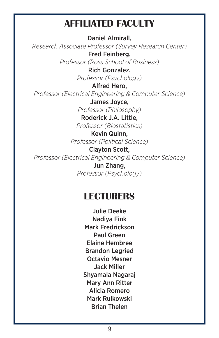#### **AFFILIATED FACULTY**

Daniel Almirall, *Research Associate Professor (Survey Research Center)* Fred Feinberg, *Professor (Ross School of Business)* Rich Gonzalez, *Professor (Psychology)* Alfred Hero, *Professor (Electrical Engineering & Computer Science)* James Joyce, *Professor (Philosophy)* Roderick J.A. Little,

*Professor (Biostatistics)*

Kevin Quinn, *Professor (Political Science)*

Clayton Scott, *Professor (Electrical Engineering & Computer Science)*

> Jun Zhang, *Professor (Psychology)*

#### **LECTURERS**

Julie Deeke Nadiya Fink Mark Fredrickson Paul Green Elaine Hembree Brandon Legried Octavio Mesner Jack Miller Shyamala Nagaraj Mary Ann Ritter Alicia Romero Mark Rulkowski Brian Thelen